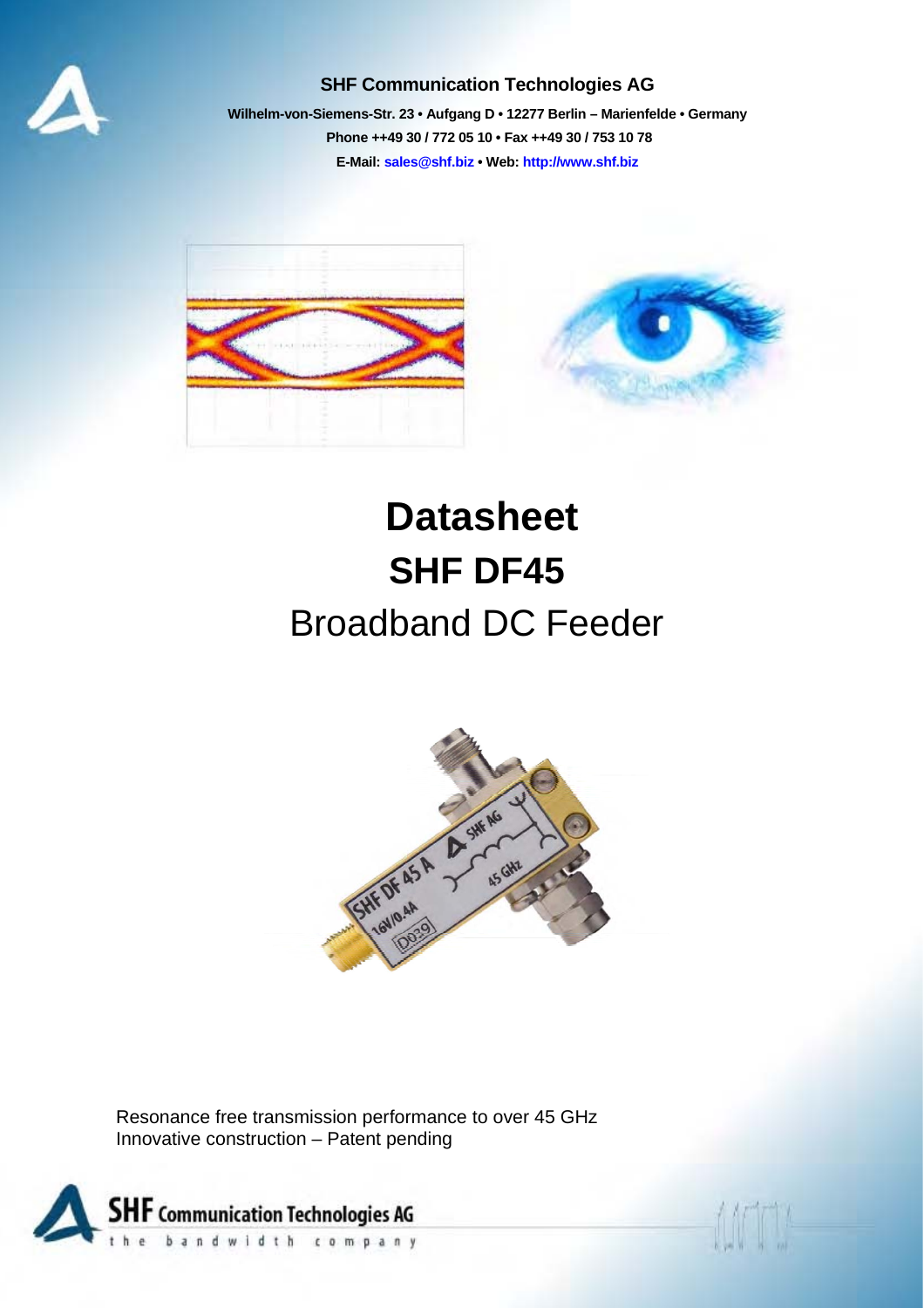

### **SHF Communication Technologies AG**

**Wilhelm-von-Siemens-Str. 23 • Aufgang D • 12277 Berlin – Marienfelde • Germany Phone ++49 30 / 772 05 10 • Fax ++49 30 / 753 10 78 E-Mail: sales@shf.biz • Web: http://www.shf.biz**



# **Datasheet SHF DF45**  Broadband DC Feeder



Resonance free transmission performance to over 45 GHz Innovative construction – Patent pending

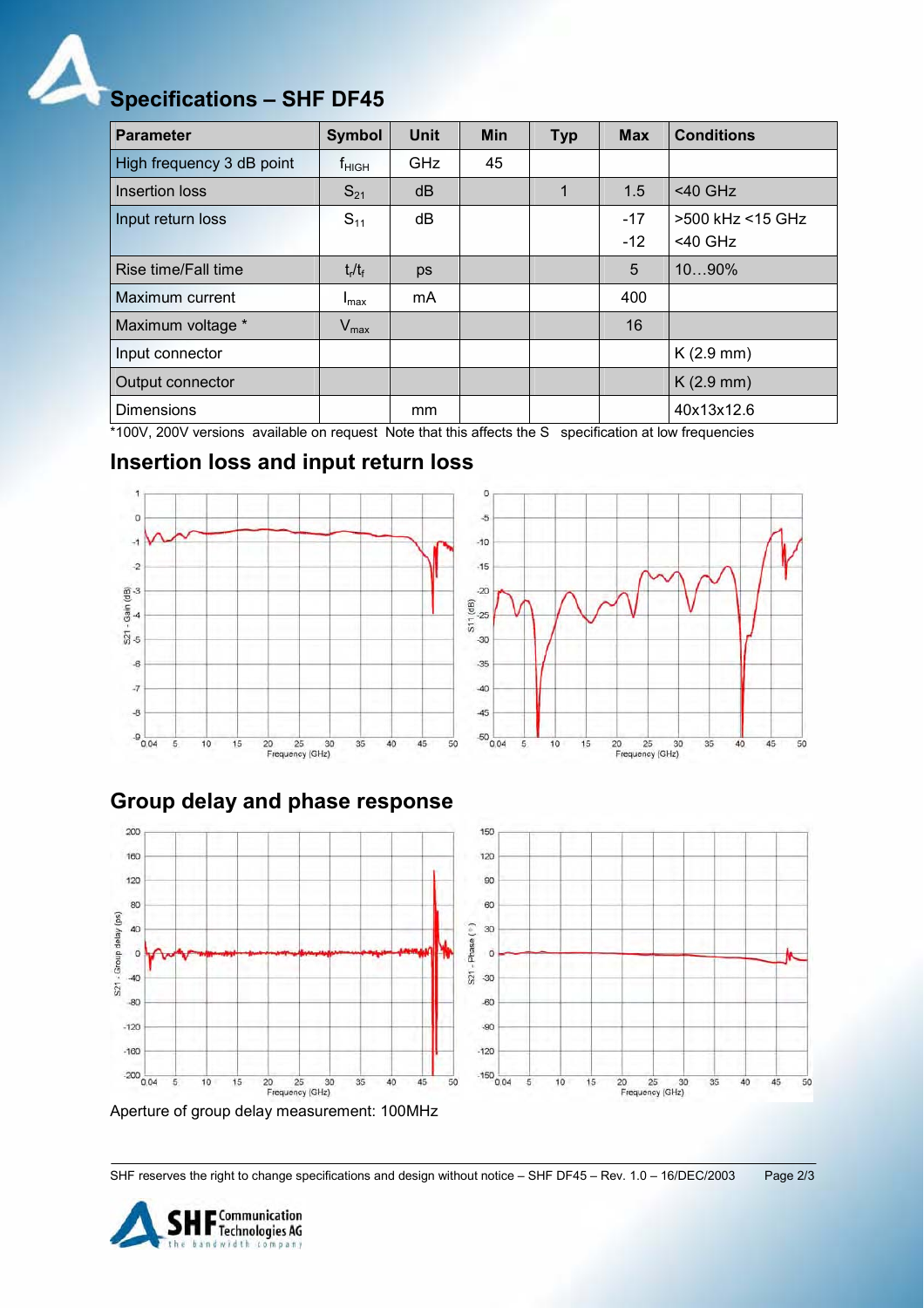

| <b>Specifications - SHF DF45</b> |  |
|----------------------------------|--|
|----------------------------------|--|

| <b>Parameter</b>          | <b>Symbol</b>    | <b>Unit</b> | <b>Min</b> | <b>Typ</b> | <b>Max</b> | <b>Conditions</b> |
|---------------------------|------------------|-------------|------------|------------|------------|-------------------|
| High frequency 3 dB point | $f_{\sf HIGH}$   | <b>GHz</b>  | 45         |            |            |                   |
| Insertion loss            | $S_{21}$         | dB          |            | 1          | 1.5        | $<$ 40 GHz        |
| Input return loss         | $S_{11}$         | dB          |            |            | $-17$      | >500 kHz <15 GHz  |
|                           |                  |             |            |            | $-12$      | $<$ 40 GHz        |
| Rise time/Fall time       | $t_r/t_f$        | ps          |            |            | 5          | $1090\%$          |
| Maximum current           | $I_{\text{max}}$ | mA          |            |            | 400        |                   |
| Maximum voltage *         | $V_{\text{max}}$ |             |            |            | 16         |                   |
| Input connector           |                  |             |            |            |            | $K(2.9$ mm)       |
| Output connector          |                  |             |            |            |            | $K(2.9$ mm)       |
| <b>Dimensions</b>         |                  | mm          |            |            |            | 40x13x12.6        |

\*100V, 200V versions available on request Note that this affects the S specification at low frequencies

### Insertion loss and input return loss





#### 200 150 160 120 120 90 80 60 Group delay (ps) 40 30  $Phase (*)$  $\overline{0}$  $\overline{a}$  $\overline{\mathbb{S}}$  $-30$  $-40$  $521$ .  $-80$  $-60$  $-120$  $-90$  $-160$  $-120$  $-200$ <sub>0.04</sub>  $-150$ <sub>0.04</sub>  $20$   $25$   $30$ <br>Frequency (GHz)  $\overline{5}$  $10$ 35  $40$ 45 50 5  $\begin{array}{cc} 20 & 25 & 30 \\ \text{Frequency (GHz)} & \end{array}$ 40 45 50 15  $10$ 15 35

Group delay and phase response

Aperture of group delay measurement: 100MHz

SHF reserves the right to change specifications and design without notice - SHF DF45 - Rev. 1.0 - 16/DEC/2003 Page 2/3